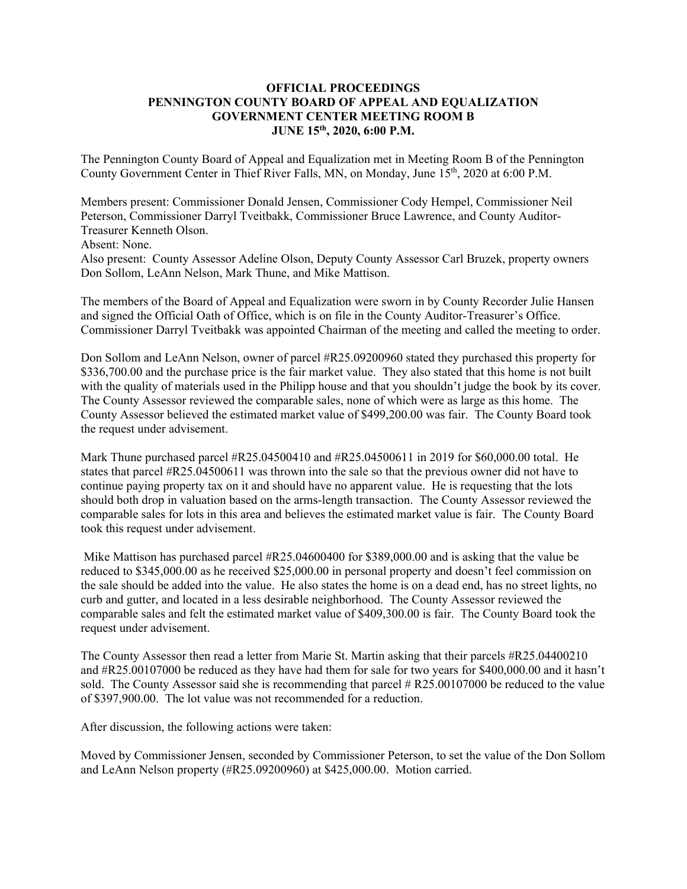## **OFFICIAL PROCEEDINGS PENNINGTON COUNTY BOARD OF APPEAL AND EQUALIZATION GOVERNMENT CENTER MEETING ROOM B JUNE 15th, 2020, 6:00 P.M.**

The Pennington County Board of Appeal and Equalization met in Meeting Room B of the Pennington County Government Center in Thief River Falls, MN, on Monday, June 15<sup>th</sup>, 2020 at 6:00 P.M.

Members present: Commissioner Donald Jensen, Commissioner Cody Hempel, Commissioner Neil Peterson, Commissioner Darryl Tveitbakk, Commissioner Bruce Lawrence, and County Auditor-Treasurer Kenneth Olson.

Absent: None.

Also present: County Assessor Adeline Olson, Deputy County Assessor Carl Bruzek, property owners Don Sollom, LeAnn Nelson, Mark Thune, and Mike Mattison.

The members of the Board of Appeal and Equalization were sworn in by County Recorder Julie Hansen and signed the Official Oath of Office, which is on file in the County Auditor-Treasurer's Office. Commissioner Darryl Tveitbakk was appointed Chairman of the meeting and called the meeting to order.

Don Sollom and LeAnn Nelson, owner of parcel #R25.09200960 stated they purchased this property for \$336,700.00 and the purchase price is the fair market value. They also stated that this home is not built with the quality of materials used in the Philipp house and that you shouldn't judge the book by its cover. The County Assessor reviewed the comparable sales, none of which were as large as this home. The County Assessor believed the estimated market value of \$499,200.00 was fair. The County Board took the request under advisement.

Mark Thune purchased parcel #R25.04500410 and #R25.04500611 in 2019 for \$60,000.00 total. He states that parcel #R25.04500611 was thrown into the sale so that the previous owner did not have to continue paying property tax on it and should have no apparent value. He is requesting that the lots should both drop in valuation based on the arms-length transaction. The County Assessor reviewed the comparable sales for lots in this area and believes the estimated market value is fair. The County Board took this request under advisement.

Mike Mattison has purchased parcel #R25.04600400 for \$389,000.00 and is asking that the value be reduced to \$345,000.00 as he received \$25,000.00 in personal property and doesn't feel commission on the sale should be added into the value. He also states the home is on a dead end, has no street lights, no curb and gutter, and located in a less desirable neighborhood. The County Assessor reviewed the comparable sales and felt the estimated market value of \$409,300.00 is fair. The County Board took the request under advisement.

The County Assessor then read a letter from Marie St. Martin asking that their parcels #R25.04400210 and #R25.00107000 be reduced as they have had them for sale for two years for \$400,000.00 and it hasn't sold. The County Assessor said she is recommending that parcel # R25.00107000 be reduced to the value of \$397,900.00. The lot value was not recommended for a reduction.

After discussion, the following actions were taken:

Moved by Commissioner Jensen, seconded by Commissioner Peterson, to set the value of the Don Sollom and LeAnn Nelson property (#R25.09200960) at \$425,000.00. Motion carried.